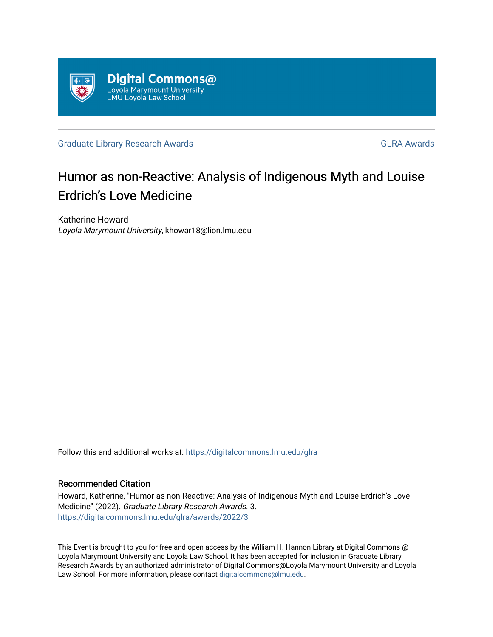

[Graduate Library Research Awards](https://digitalcommons.lmu.edu/glra) **GLA Awards** [GLRA Awards](https://digitalcommons.lmu.edu/glra/awards) **GLRA** Awards

## Humor as non-Reactive: Analysis of Indigenous Myth and Louise Erdrich's Love Medicine

Katherine Howard Loyola Marymount University, khowar18@lion.lmu.edu

Follow this and additional works at: [https://digitalcommons.lmu.edu/glra](https://digitalcommons.lmu.edu/glra?utm_source=digitalcommons.lmu.edu%2Fglra%2Fawards%2F2022%2F3&utm_medium=PDF&utm_campaign=PDFCoverPages) 

## Recommended Citation

Howard, Katherine, "Humor as non-Reactive: Analysis of Indigenous Myth and Louise Erdrich's Love Medicine" (2022). Graduate Library Research Awards. 3. [https://digitalcommons.lmu.edu/glra/awards/2022/3](https://digitalcommons.lmu.edu/glra/awards/2022/3?utm_source=digitalcommons.lmu.edu%2Fglra%2Fawards%2F2022%2F3&utm_medium=PDF&utm_campaign=PDFCoverPages) 

This Event is brought to you for free and open access by the William H. Hannon Library at Digital Commons @ Loyola Marymount University and Loyola Law School. It has been accepted for inclusion in Graduate Library Research Awards by an authorized administrator of Digital Commons@Loyola Marymount University and Loyola Law School. For more information, please contact [digitalcommons@lmu.edu.](mailto:digitalcommons@lmu.edu)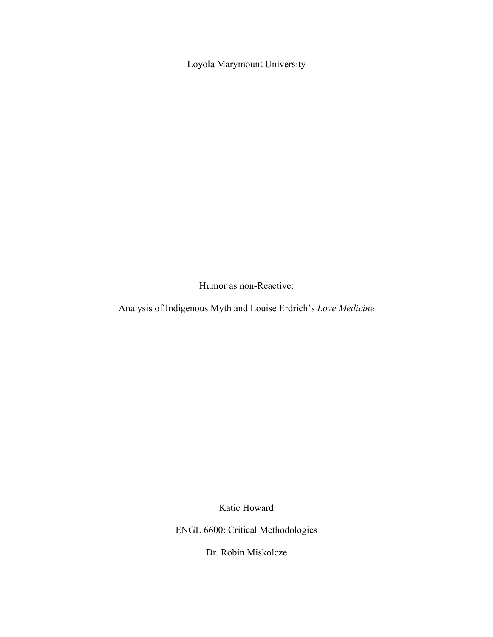Loyola Marymount University

Humor as non-Reactive:

Analysis of Indigenous Myth and Louise Erdrich's *Love Medicine*

Katie Howard

ENGL 6600: Critical Methodologies

Dr. Robin Miskolcze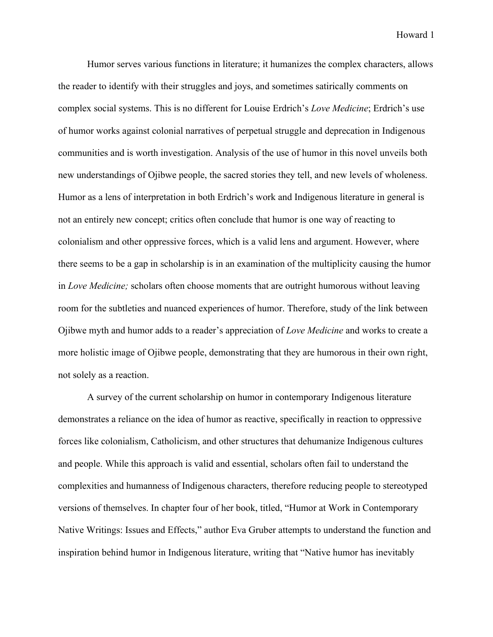Humor serves various functions in literature; it humanizes the complex characters, allows the reader to identify with their struggles and joys, and sometimes satirically comments on complex social systems. This is no different for Louise Erdrich's *Love Medicine*; Erdrich's use of humor works against colonial narratives of perpetual struggle and deprecation in Indigenous communities and is worth investigation. Analysis of the use of humor in this novel unveils both new understandings of Ojibwe people, the sacred stories they tell, and new levels of wholeness. Humor as a lens of interpretation in both Erdrich's work and Indigenous literature in general is not an entirely new concept; critics often conclude that humor is one way of reacting to colonialism and other oppressive forces, which is a valid lens and argument. However, where there seems to be a gap in scholarship is in an examination of the multiplicity causing the humor in *Love Medicine;* scholars often choose moments that are outright humorous without leaving room for the subtleties and nuanced experiences of humor. Therefore, study of the link between Ojibwe myth and humor adds to a reader's appreciation of *Love Medicine* and works to create a more holistic image of Ojibwe people, demonstrating that they are humorous in their own right, not solely as a reaction.

A survey of the current scholarship on humor in contemporary Indigenous literature demonstrates a reliance on the idea of humor as reactive, specifically in reaction to oppressive forces like colonialism, Catholicism, and other structures that dehumanize Indigenous cultures and people. While this approach is valid and essential, scholars often fail to understand the complexities and humanness of Indigenous characters, therefore reducing people to stereotyped versions of themselves. In chapter four of her book, titled, "Humor at Work in Contemporary Native Writings: Issues and Effects," author Eva Gruber attempts to understand the function and inspiration behind humor in Indigenous literature, writing that "Native humor has inevitably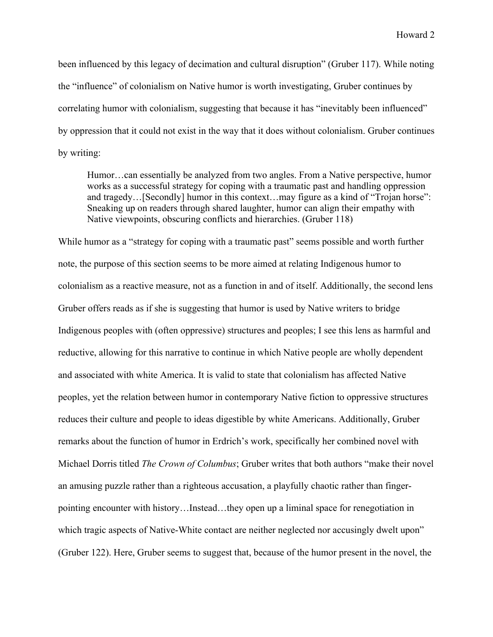been influenced by this legacy of decimation and cultural disruption" (Gruber 117). While noting the "influence" of colonialism on Native humor is worth investigating, Gruber continues by correlating humor with colonialism, suggesting that because it has "inevitably been influenced" by oppression that it could not exist in the way that it does without colonialism. Gruber continues by writing:

Humor…can essentially be analyzed from two angles. From a Native perspective, humor works as a successful strategy for coping with a traumatic past and handling oppression and tragedy…[Secondly] humor in this context…may figure as a kind of "Trojan horse": Sneaking up on readers through shared laughter, humor can align their empathy with Native viewpoints, obscuring conflicts and hierarchies. (Gruber 118)

While humor as a "strategy for coping with a traumatic past" seems possible and worth further note, the purpose of this section seems to be more aimed at relating Indigenous humor to colonialism as a reactive measure, not as a function in and of itself. Additionally, the second lens Gruber offers reads as if she is suggesting that humor is used by Native writers to bridge Indigenous peoples with (often oppressive) structures and peoples; I see this lens as harmful and reductive, allowing for this narrative to continue in which Native people are wholly dependent and associated with white America. It is valid to state that colonialism has affected Native peoples, yet the relation between humor in contemporary Native fiction to oppressive structures reduces their culture and people to ideas digestible by white Americans. Additionally, Gruber remarks about the function of humor in Erdrich's work, specifically her combined novel with Michael Dorris titled *The Crown of Columbus*; Gruber writes that both authors "make their novel an amusing puzzle rather than a righteous accusation, a playfully chaotic rather than fingerpointing encounter with history…Instead…they open up a liminal space for renegotiation in which tragic aspects of Native-White contact are neither neglected nor accusingly dwelt upon" (Gruber 122). Here, Gruber seems to suggest that, because of the humor present in the novel, the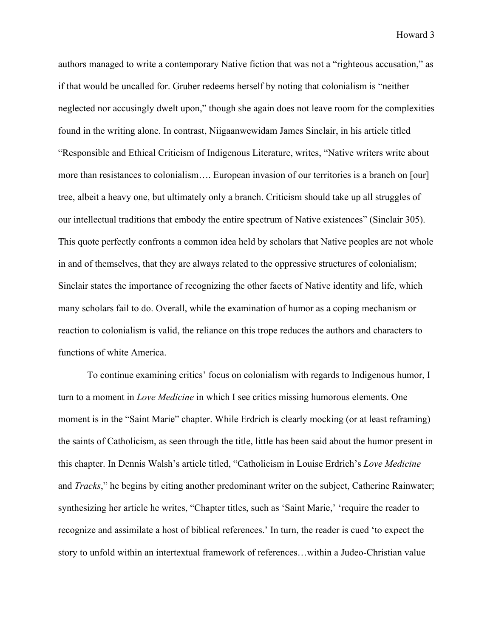authors managed to write a contemporary Native fiction that was not a "righteous accusation," as if that would be uncalled for. Gruber redeems herself by noting that colonialism is "neither neglected nor accusingly dwelt upon," though she again does not leave room for the complexities found in the writing alone. In contrast, Niigaanwewidam James Sinclair, in his article titled "Responsible and Ethical Criticism of Indigenous Literature, writes, "Native writers write about more than resistances to colonialism…. European invasion of our territories is a branch on [our] tree, albeit a heavy one, but ultimately only a branch. Criticism should take up all struggles of our intellectual traditions that embody the entire spectrum of Native existences" (Sinclair 305). This quote perfectly confronts a common idea held by scholars that Native peoples are not whole in and of themselves, that they are always related to the oppressive structures of colonialism; Sinclair states the importance of recognizing the other facets of Native identity and life, which many scholars fail to do. Overall, while the examination of humor as a coping mechanism or reaction to colonialism is valid, the reliance on this trope reduces the authors and characters to functions of white America.

To continue examining critics' focus on colonialism with regards to Indigenous humor, I turn to a moment in *Love Medicine* in which I see critics missing humorous elements. One moment is in the "Saint Marie" chapter. While Erdrich is clearly mocking (or at least reframing) the saints of Catholicism, as seen through the title, little has been said about the humor present in this chapter. In Dennis Walsh's article titled, "Catholicism in Louise Erdrich's *Love Medicine* and *Tracks*," he begins by citing another predominant writer on the subject, Catherine Rainwater; synthesizing her article he writes, "Chapter titles, such as 'Saint Marie,' 'require the reader to recognize and assimilate a host of biblical references.' In turn, the reader is cued 'to expect the story to unfold within an intertextual framework of references…within a Judeo-Christian value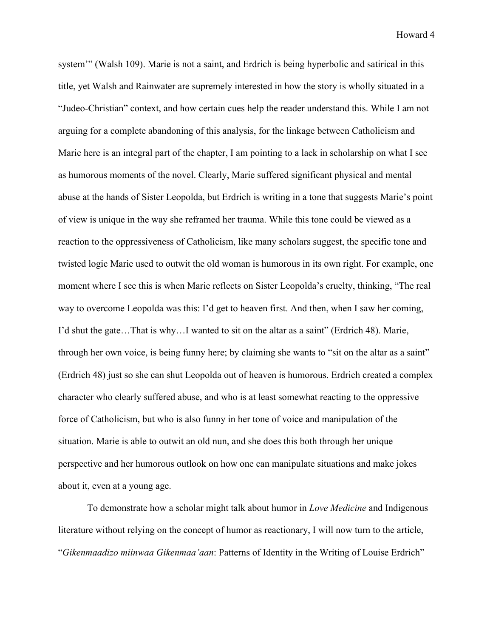system"" (Walsh 109). Marie is not a saint, and Erdrich is being hyperbolic and satirical in this title, yet Walsh and Rainwater are supremely interested in how the story is wholly situated in a "Judeo-Christian" context, and how certain cues help the reader understand this. While I am not arguing for a complete abandoning of this analysis, for the linkage between Catholicism and Marie here is an integral part of the chapter, I am pointing to a lack in scholarship on what I see as humorous moments of the novel. Clearly, Marie suffered significant physical and mental abuse at the hands of Sister Leopolda, but Erdrich is writing in a tone that suggests Marie's point of view is unique in the way she reframed her trauma. While this tone could be viewed as a reaction to the oppressiveness of Catholicism, like many scholars suggest, the specific tone and twisted logic Marie used to outwit the old woman is humorous in its own right. For example, one moment where I see this is when Marie reflects on Sister Leopolda's cruelty, thinking, "The real way to overcome Leopolda was this: I'd get to heaven first. And then, when I saw her coming, I'd shut the gate…That is why…I wanted to sit on the altar as a saint" (Erdrich 48). Marie, through her own voice, is being funny here; by claiming she wants to "sit on the altar as a saint" (Erdrich 48) just so she can shut Leopolda out of heaven is humorous. Erdrich created a complex character who clearly suffered abuse, and who is at least somewhat reacting to the oppressive force of Catholicism, but who is also funny in her tone of voice and manipulation of the situation. Marie is able to outwit an old nun, and she does this both through her unique perspective and her humorous outlook on how one can manipulate situations and make jokes about it, even at a young age.

To demonstrate how a scholar might talk about humor in *Love Medicine* and Indigenous literature without relying on the concept of humor as reactionary, I will now turn to the article, "*Gikenmaadizo miinwaa Gikenmaa'aan*: Patterns of Identity in the Writing of Louise Erdrich"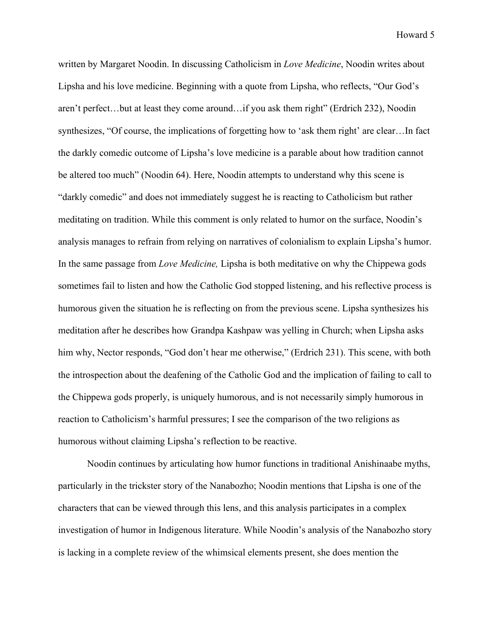written by Margaret Noodin. In discussing Catholicism in *Love Medicine*, Noodin writes about Lipsha and his love medicine. Beginning with a quote from Lipsha, who reflects, "Our God's aren't perfect…but at least they come around…if you ask them right" (Erdrich 232), Noodin synthesizes, "Of course, the implications of forgetting how to 'ask them right' are clear…In fact the darkly comedic outcome of Lipsha's love medicine is a parable about how tradition cannot be altered too much" (Noodin 64). Here, Noodin attempts to understand why this scene is "darkly comedic" and does not immediately suggest he is reacting to Catholicism but rather meditating on tradition. While this comment is only related to humor on the surface, Noodin's analysis manages to refrain from relying on narratives of colonialism to explain Lipsha's humor. In the same passage from *Love Medicine,* Lipsha is both meditative on why the Chippewa gods sometimes fail to listen and how the Catholic God stopped listening, and his reflective process is humorous given the situation he is reflecting on from the previous scene. Lipsha synthesizes his meditation after he describes how Grandpa Kashpaw was yelling in Church; when Lipsha asks him why, Nector responds, "God don't hear me otherwise," (Erdrich 231). This scene, with both the introspection about the deafening of the Catholic God and the implication of failing to call to the Chippewa gods properly, is uniquely humorous, and is not necessarily simply humorous in reaction to Catholicism's harmful pressures; I see the comparison of the two religions as humorous without claiming Lipsha's reflection to be reactive.

Noodin continues by articulating how humor functions in traditional Anishinaabe myths, particularly in the trickster story of the Nanabozho; Noodin mentions that Lipsha is one of the characters that can be viewed through this lens, and this analysis participates in a complex investigation of humor in Indigenous literature. While Noodin's analysis of the Nanabozho story is lacking in a complete review of the whimsical elements present, she does mention the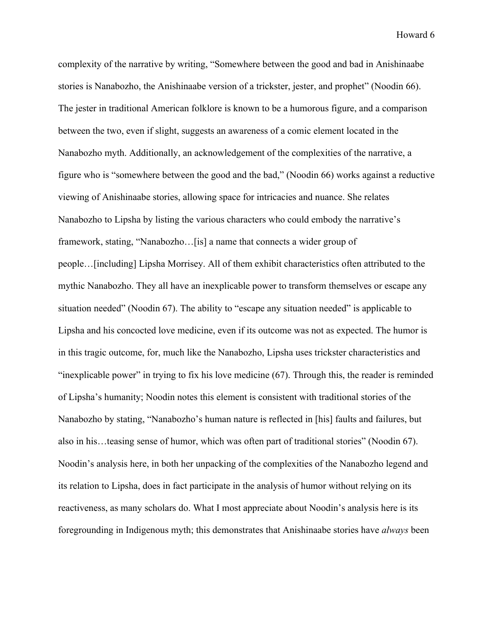complexity of the narrative by writing, "Somewhere between the good and bad in Anishinaabe stories is Nanabozho, the Anishinaabe version of a trickster, jester, and prophet" (Noodin 66). The jester in traditional American folklore is known to be a humorous figure, and a comparison between the two, even if slight, suggests an awareness of a comic element located in the Nanabozho myth. Additionally, an acknowledgement of the complexities of the narrative, a figure who is "somewhere between the good and the bad," (Noodin 66) works against a reductive viewing of Anishinaabe stories, allowing space for intricacies and nuance. She relates Nanabozho to Lipsha by listing the various characters who could embody the narrative's framework, stating, "Nanabozho…[is] a name that connects a wider group of people…[including] Lipsha Morrisey. All of them exhibit characteristics often attributed to the mythic Nanabozho. They all have an inexplicable power to transform themselves or escape any situation needed" (Noodin 67). The ability to "escape any situation needed" is applicable to Lipsha and his concocted love medicine, even if its outcome was not as expected. The humor is in this tragic outcome, for, much like the Nanabozho, Lipsha uses trickster characteristics and "inexplicable power" in trying to fix his love medicine (67). Through this, the reader is reminded of Lipsha's humanity; Noodin notes this element is consistent with traditional stories of the Nanabozho by stating, "Nanabozho's human nature is reflected in [his] faults and failures, but also in his…teasing sense of humor, which was often part of traditional stories" (Noodin 67). Noodin's analysis here, in both her unpacking of the complexities of the Nanabozho legend and its relation to Lipsha, does in fact participate in the analysis of humor without relying on its reactiveness, as many scholars do. What I most appreciate about Noodin's analysis here is its foregrounding in Indigenous myth; this demonstrates that Anishinaabe stories have *always* been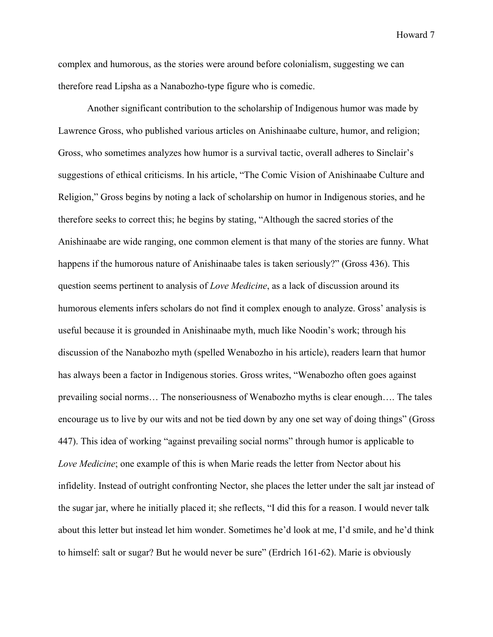complex and humorous, as the stories were around before colonialism, suggesting we can therefore read Lipsha as a Nanabozho-type figure who is comedic.

Another significant contribution to the scholarship of Indigenous humor was made by Lawrence Gross, who published various articles on Anishinaabe culture, humor, and religion; Gross, who sometimes analyzes how humor is a survival tactic, overall adheres to Sinclair's suggestions of ethical criticisms. In his article, "The Comic Vision of Anishinaabe Culture and Religion," Gross begins by noting a lack of scholarship on humor in Indigenous stories, and he therefore seeks to correct this; he begins by stating, "Although the sacred stories of the Anishinaabe are wide ranging, one common element is that many of the stories are funny. What happens if the humorous nature of Anishinaabe tales is taken seriously?" (Gross 436). This question seems pertinent to analysis of *Love Medicine*, as a lack of discussion around its humorous elements infers scholars do not find it complex enough to analyze. Gross' analysis is useful because it is grounded in Anishinaabe myth, much like Noodin's work; through his discussion of the Nanabozho myth (spelled Wenabozho in his article), readers learn that humor has always been a factor in Indigenous stories. Gross writes, "Wenabozho often goes against prevailing social norms… The nonseriousness of Wenabozho myths is clear enough…. The tales encourage us to live by our wits and not be tied down by any one set way of doing things" (Gross 447). This idea of working "against prevailing social norms" through humor is applicable to *Love Medicine*; one example of this is when Marie reads the letter from Nector about his infidelity. Instead of outright confronting Nector, she places the letter under the salt jar instead of the sugar jar, where he initially placed it; she reflects, "I did this for a reason. I would never talk about this letter but instead let him wonder. Sometimes he'd look at me, I'd smile, and he'd think to himself: salt or sugar? But he would never be sure" (Erdrich 161-62). Marie is obviously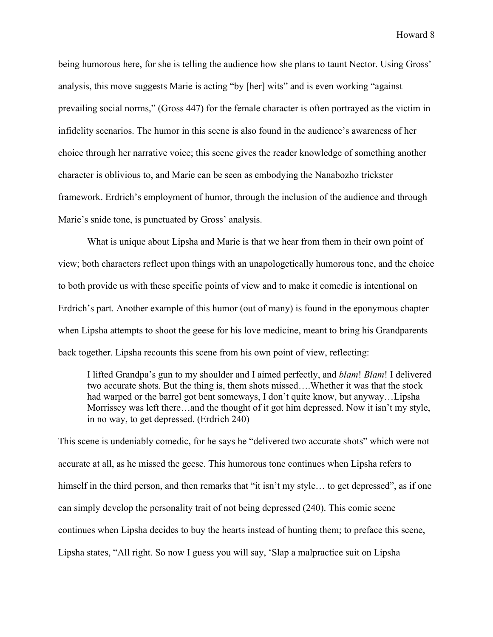being humorous here, for she is telling the audience how she plans to taunt Nector. Using Gross' analysis, this move suggests Marie is acting "by [her] wits" and is even working "against prevailing social norms," (Gross 447) for the female character is often portrayed as the victim in infidelity scenarios. The humor in this scene is also found in the audience's awareness of her choice through her narrative voice; this scene gives the reader knowledge of something another character is oblivious to, and Marie can be seen as embodying the Nanabozho trickster framework. Erdrich's employment of humor, through the inclusion of the audience and through Marie's snide tone, is punctuated by Gross' analysis.

What is unique about Lipsha and Marie is that we hear from them in their own point of view; both characters reflect upon things with an unapologetically humorous tone, and the choice to both provide us with these specific points of view and to make it comedic is intentional on Erdrich's part. Another example of this humor (out of many) is found in the eponymous chapter when Lipsha attempts to shoot the geese for his love medicine, meant to bring his Grandparents back together. Lipsha recounts this scene from his own point of view, reflecting:

I lifted Grandpa's gun to my shoulder and I aimed perfectly, and *blam*! *Blam*! I delivered two accurate shots. But the thing is, them shots missed….Whether it was that the stock had warped or the barrel got bent someways, I don't quite know, but anyway…Lipsha Morrissey was left there…and the thought of it got him depressed. Now it isn't my style, in no way, to get depressed. (Erdrich 240)

This scene is undeniably comedic, for he says he "delivered two accurate shots" which were not accurate at all, as he missed the geese. This humorous tone continues when Lipsha refers to himself in the third person, and then remarks that "it isn't my style... to get depressed", as if one can simply develop the personality trait of not being depressed (240). This comic scene continues when Lipsha decides to buy the hearts instead of hunting them; to preface this scene, Lipsha states, "All right. So now I guess you will say, 'Slap a malpractice suit on Lipsha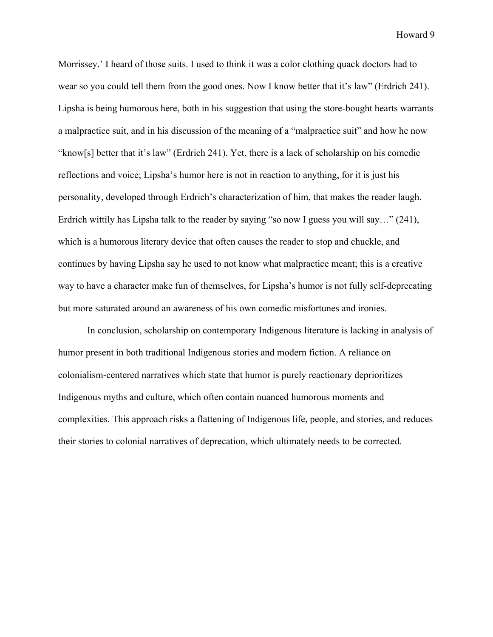Morrissey.' I heard of those suits. I used to think it was a color clothing quack doctors had to wear so you could tell them from the good ones. Now I know better that it's law" (Erdrich 241). Lipsha is being humorous here, both in his suggestion that using the store-bought hearts warrants a malpractice suit, and in his discussion of the meaning of a "malpractice suit" and how he now "know[s] better that it's law" (Erdrich 241). Yet, there is a lack of scholarship on his comedic reflections and voice; Lipsha's humor here is not in reaction to anything, for it is just his personality, developed through Erdrich's characterization of him, that makes the reader laugh. Erdrich wittily has Lipsha talk to the reader by saying "so now I guess you will say…" (241), which is a humorous literary device that often causes the reader to stop and chuckle, and continues by having Lipsha say he used to not know what malpractice meant; this is a creative way to have a character make fun of themselves, for Lipsha's humor is not fully self-deprecating but more saturated around an awareness of his own comedic misfortunes and ironies.

In conclusion, scholarship on contemporary Indigenous literature is lacking in analysis of humor present in both traditional Indigenous stories and modern fiction. A reliance on colonialism-centered narratives which state that humor is purely reactionary deprioritizes Indigenous myths and culture, which often contain nuanced humorous moments and complexities. This approach risks a flattening of Indigenous life, people, and stories, and reduces their stories to colonial narratives of deprecation, which ultimately needs to be corrected.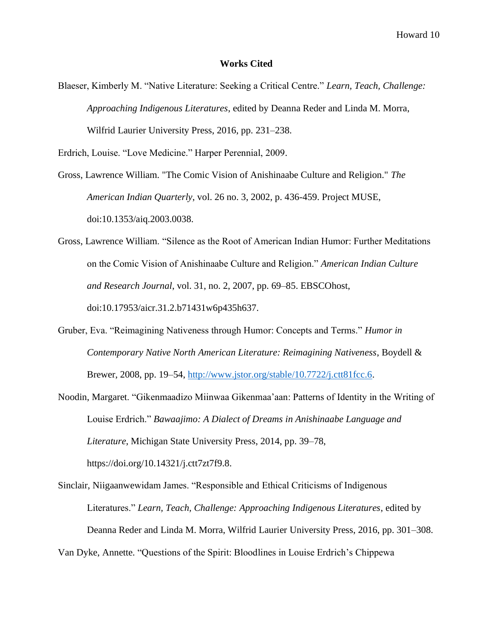## **Works Cited**

Blaeser, Kimberly M. "Native Literature: Seeking a Critical Centre." *Learn, Teach, Challenge: Approaching Indigenous Literatures*, edited by Deanna Reder and Linda M. Morra, Wilfrid Laurier University Press, 2016, pp. 231–238.

Erdrich, Louise. "Love Medicine." Harper Perennial, 2009.

- Gross, Lawrence William. "The Comic Vision of Anishinaabe Culture and Religion." *The American Indian Quarterly*, vol. 26 no. 3, 2002, p. 436-459. Project MUSE, doi:10.1353/aiq.2003.0038.
- Gross, Lawrence William. "Silence as the Root of American Indian Humor: Further Meditations on the Comic Vision of Anishinaabe Culture and Religion." *American Indian Culture and Research Journal*, vol. 31, no. 2, 2007, pp. 69–85. EBSCOhost, doi:10.17953/aicr.31.2.b71431w6p435h637.
- Gruber, Eva. "Reimagining Nativeness through Humor: Concepts and Terms." *Humor in Contemporary Native North American Literature: Reimagining Nativeness*, Boydell & Brewer, 2008, pp. 19–54, [http://www.jstor.org/stable/10.7722/j.ctt81fcc.6.](http://www.jstor.org/stable/10.7722/j.ctt81fcc.6)
- Noodin, Margaret. "Gikenmaadizo Miinwaa Gikenmaa'aan: Patterns of Identity in the Writing of Louise Erdrich." *Bawaajimo: A Dialect of Dreams in Anishinaabe Language and Literature*, Michigan State University Press, 2014, pp. 39–78, https://doi.org/10.14321/j.ctt7zt7f9.8.
- Sinclair, Niigaanwewidam James. "Responsible and Ethical Criticisms of Indigenous Literatures." *Learn, Teach, Challenge: Approaching Indigenous Literatures*, edited by Deanna Reder and Linda M. Morra, Wilfrid Laurier University Press, 2016, pp. 301–308. Van Dyke, Annette. "Questions of the Spirit: Bloodlines in Louise Erdrich's Chippewa